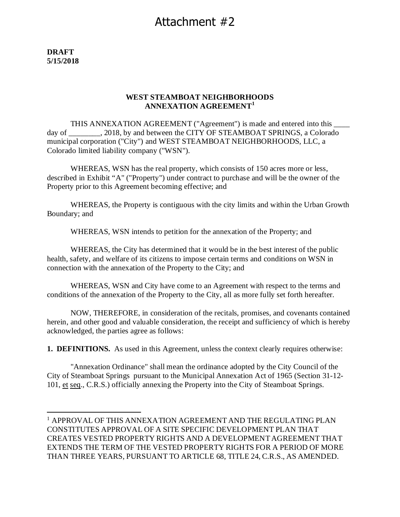# Attachment #2

### **DRAFT 5/15/2018**

#### **WEST STEAMBOAT NEIGHBORHOODS ANNEXATION AGREEMENT[1](#page-0-0)**

THIS ANNEXATION AGREEMENT ("Agreement") is made and entered into this \_\_\_\_ day of \_\_\_\_\_\_\_\_, 2018, by and between the CITY OF STEAMBOAT SPRINGS, a Colorado municipal corporation ("City") and WEST STEAMBOAT NEIGHBORHOODS, LLC, a Colorado limited liability company ("WSN").

WHEREAS, WSN has the real property, which consists of 150 acres more or less, described in Exhibit "A" ("Property") under contract to purchase and will be the owner of the Property prior to this Agreement becoming effective; and

WHEREAS, the Property is contiguous with the city limits and within the Urban Growth Boundary; and

WHEREAS, WSN intends to petition for the annexation of the Property; and

WHEREAS, the City has determined that it would be in the best interest of the public health, safety, and welfare of its citizens to impose certain terms and conditions on WSN in connection with the annexation of the Property to the City; and

WHEREAS, WSN and City have come to an Agreement with respect to the terms and conditions of the annexation of the Property to the City, all as more fully set forth hereafter.

NOW, THEREFORE, in consideration of the recitals, promises, and covenants contained herein, and other good and valuable consideration, the receipt and sufficiency of which is hereby acknowledged, the parties agree as follows:

**1. DEFINITIONS.** As used in this Agreement, unless the context clearly requires otherwise:

"Annexation Ordinance" shall mean the ordinance adopted by the City Council of the City of Steamboat Springs pursuant to the Municipal Annexation Act of 1965 (Section 31-12- 101, et seq., C.R.S.) officially annexing the Property into the City of Steamboat Springs.

<span id="page-0-0"></span><sup>1</sup> APPROVAL OF THIS ANNEXATION AGREEMENT AND THE REGULATING PLAN CONSTITUTES APPROVAL OF A SITE SPECIFIC DEVELOPMENT PLAN THAT CREATES VESTED PROPERTY RIGHTS AND A DEVELOPMENT AGREEMENT THAT EXTENDS THE TERM OF THE VESTED PROPERTY RIGHTS FOR A PERIOD OF MORE THAN THREE YEARS, PURSUANT TO ARTICLE 68, TITLE 24, C.R.S., AS AMENDED.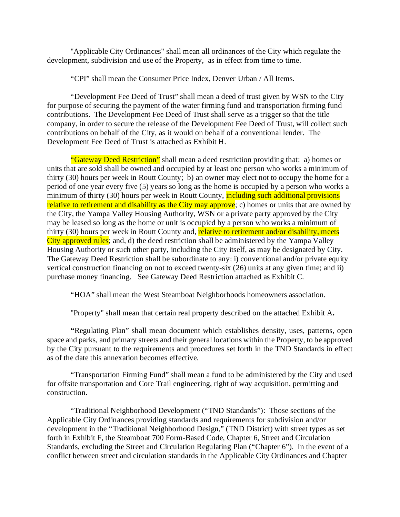"Applicable City Ordinances" shall mean all ordinances of the City which regulate the development, subdivision and use of the Property, as in effect from time to time.

"CPI" shall mean the Consumer Price Index, Denver Urban / All Items.

"Development Fee Deed of Trust" shall mean a deed of trust given by WSN to the City for purpose of securing the payment of the water firming fund and transportation firming fund contributions. The Development Fee Deed of Trust shall serve as a trigger so that the title company, in order to secure the release of the Development Fee Deed of Trust, will collect such contributions on behalf of the City, as it would on behalf of a conventional lender. The Development Fee Deed of Trust is attached as Exhibit H.

"Gateway Deed Restriction" shall mean a deed restriction providing that: a) homes or units that are sold shall be owned and occupied by at least one person who works a minimum of thirty (30) hours per week in Routt County; b) an owner may elect not to occupy the home for a period of one year every five (5) years so long as the home is occupied by a person who works a minimum of thirty (30) hours per week in Routt County, **including such additional provisions** relative to retirement and disability as the City may approve; c) homes or units that are owned by the City, the Yampa Valley Housing Authority, WSN or a private party approved by the City may be leased so long as the home or unit is occupied by a person who works a minimum of thirty (30) hours per week in Routt County and, relative to retirement and/or disability, meets City approved rules; and, d) the deed restriction shall be administered by the Yampa Valley Housing Authority or such other party, including the City itself, as may be designated by City. The Gateway Deed Restriction shall be subordinate to any: i) conventional and/or private equity vertical construction financing on not to exceed twenty-six (26) units at any given time; and ii) purchase money financing. See Gateway Deed Restriction attached as Exhibit C.

"HOA" shall mean the West Steamboat Neighborhoods homeowners association.

"Property" shall mean that certain real property described on the attached Exhibit A**.** 

**"**Regulating Plan" shall mean document which establishes density, uses, patterns, open space and parks, and primary streets and their general locations within the Property, to be approved by the City pursuant to the requirements and procedures set forth in the TND Standards in effect as of the date this annexation becomes effective.

"Transportation Firming Fund" shall mean a fund to be administered by the City and used for offsite transportation and Core Trail engineering, right of way acquisition, permitting and construction.

"Traditional Neighborhood Development ("TND Standards"): Those sections of the Applicable City Ordinances providing standards and requirements for subdivision and/or development in the "Traditional Neighborhood Design," (TND District) with street types as set forth in Exhibit F, the Steamboat 700 Form-Based Code, Chapter 6, Street and Circulation Standards, excluding the Street and Circulation Regulating Plan ("Chapter 6"). In the event of a conflict between street and circulation standards in the Applicable City Ordinances and Chapter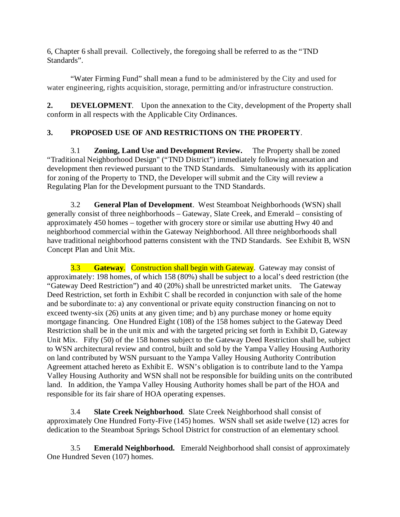6, Chapter 6 shall prevail. Collectively, the foregoing shall be referred to as the "TND Standards".

"Water Firming Fund" shall mean a fund to be administered by the City and used for water engineering, rights acquisition, storage, permitting and/or infrastructure construction.

**2. DEVELOPMENT**. Upon the annexation to the City, development of the Property shall conform in all respects with the Applicable City Ordinances.

# **3. PROPOSED USE OF AND RESTRICTIONS ON THE PROPERTY**.

3.1 **Zoning, Land Use and Development Review.** The Property shall be zoned "Traditional Neighborhood Design" ("TND District") immediately following annexation and development then reviewed pursuant to the TND Standards. Simultaneously with its application for zoning of the Property to TND, the Developer will submit and the City will review a Regulating Plan for the Development pursuant to the TND Standards.

3.2 **General Plan of Development**. West Steamboat Neighborhoods (WSN) shall generally consist of three neighborhoods – Gateway, Slate Creek, and Emerald – consisting of approximately 450 homes – together with grocery store or similar use abutting Hwy 40 and neighborhood commercial within the Gateway Neighborhood. All three neighborhoods shall have traditional neighborhood patterns consistent with the TND Standards. See Exhibit B, WSN Concept Plan and Unit Mix.

**3.3 Gateway.** Construction shall begin with Gateway. Gateway may consist of approximately: 198 homes, of which 158 (80%) shall be subject to a local's deed restriction (the "Gateway Deed Restriction") and 40 (20%) shall be unrestricted market units. The Gateway Deed Restriction, set forth in Exhibit C shall be recorded in conjunction with sale of the home and be subordinate to: a) any conventional or private equity construction financing on not to exceed twenty-six (26) units at any given time; and b) any purchase money or home equity mortgage financing. One Hundred Eight (108) of the 158 homes subject to the Gateway Deed Restriction shall be in the unit mix and with the targeted pricing set forth in Exhibit D, Gateway Unit Mix. Fifty (50) of the 158 homes subject to the Gateway Deed Restriction shall be, subject to WSN architectural review and control, built and sold by the Yampa Valley Housing Authority on land contributed by WSN pursuant to the Yampa Valley Housing Authority Contribution Agreement attached hereto as Exhibit E. WSN's obligation is to contribute land to the Yampa Valley Housing Authority and WSN shall not be responsible for building units on the contributed land. In addition, the Yampa Valley Housing Authority homes shall be part of the HOA and responsible for its fair share of HOA operating expenses.

3.4 **Slate Creek Neighborhood**. Slate Creek Neighborhood shall consist of approximately One Hundred Forty-Five (145) homes. WSN shall set aside twelve (12) acres for dedication to the Steamboat Springs School District for construction of an elementary school.

3.5 **Emerald Neighborhood.** Emerald Neighborhood shall consist of approximately One Hundred Seven (107) homes.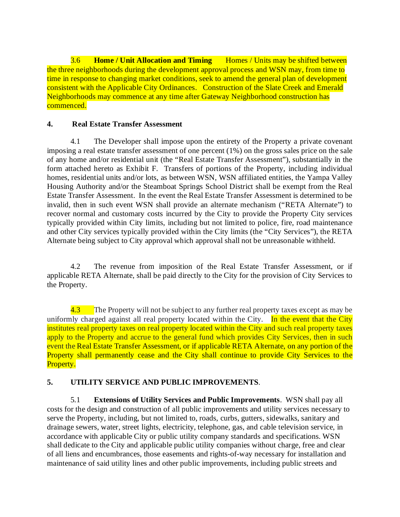3.6 **Home / Unit Allocation and Timing** Homes / Units may be shifted between the three neighborhoods during the development approval process and WSN may, from time to time in response to changing market conditions, seek to amend the general plan of development consistent with the Applicable City Ordinances. Construction of the Slate Creek and Emerald Neighborhoods may commence at any time after Gateway Neighborhood construction has commenced.

### **4. Real Estate Transfer Assessment**

4.1 The Developer shall impose upon the entirety of the Property a private covenant imposing a real estate transfer assessment of one percent (1%) on the gross sales price on the sale of any home and/or residential unit (the "Real Estate Transfer Assessment"), substantially in the form attached hereto as Exhibit F. Transfers of portions of the Property, including individual homes, residential units and/or lots, as between WSN, WSN affiliated entities, the Yampa Valley Housing Authority and/or the Steamboat Springs School District shall be exempt from the Real Estate Transfer Assessment. In the event the Real Estate Transfer Assessment is determined to be invalid, then in such event WSN shall provide an alternate mechanism ("RETA Alternate") to recover normal and customary costs incurred by the City to provide the Property City services typically provided within City limits, including but not limited to police, fire, road maintenance and other City services typically provided within the City limits (the "City Services"), the RETA Alternate being subject to City approval which approval shall not be unreasonable withheld.

4.2 The revenue from imposition of the Real Estate Transfer Assessment, or if applicable RETA Alternate, shall be paid directly to the City for the provision of City Services to the Property.

4.3 The Property will not be subject to any further real property taxes except as may be uniformly charged against all real property located within the City. In the event that the City institutes real property taxes on real property located within the City and such real property taxes apply to the Property and accrue to the general fund which provides City Services, then in such event the Real Estate Transfer Assessment, or if applicable RETA Alternate, on any portion of the Property shall permanently cease and the City shall continue to provide City Services to the Property.

## **5. UTILITY SERVICE AND PUBLIC IMPROVEMENTS**.

5.1 **Extensions of Utility Services and Public Improvements**. WSN shall pay all costs for the design and construction of all public improvements and utility services necessary to serve the Property, including, but not limited to, roads, curbs, gutters, sidewalks, sanitary and drainage sewers, water, street lights, electricity, telephone, gas, and cable television service, in accordance with applicable City or public utility company standards and specifications. WSN shall dedicate to the City and applicable public utility companies without charge, free and clear of all liens and encumbrances, those easements and rights-of-way necessary for installation and maintenance of said utility lines and other public improvements, including public streets and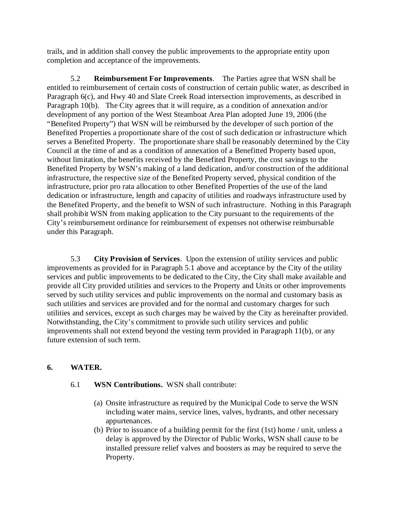trails, and in addition shall convey the public improvements to the appropriate entity upon completion and acceptance of the improvements.

5.2 **Reimbursement For Improvements**. The Parties agree that WSN shall be entitled to reimbursement of certain costs of construction of certain public water, as described in Paragraph 6(c), and Hwy 40 and Slate Creek Road intersection improvements, as described in Paragraph 10(b). The City agrees that it will require, as a condition of annexation and/or development of any portion of the West Steamboat Area Plan adopted June 19, 2006 (the "Benefited Property") that WSN will be reimbursed by the developer of such portion of the Benefited Properties a proportionate share of the cost of such dedication or infrastructure which serves a Benefited Property. The proportionate share shall be reasonably determined by the City Council at the time of and as a condition of annexation of a Benefitted Property based upon, without limitation, the benefits received by the Benefited Property, the cost savings to the Benefited Property by WSN's making of a land dedication, and/or construction of the additional infrastructure, the respective size of the Benefited Property served, physical condition of the infrastructure, prior pro rata allocation to other Benefited Properties of the use of the land dedication or infrastructure, length and capacity of utilities and roadways infrastructure used by the Benefited Property, and the benefit to WSN of such infrastructure. Nothing in this Paragraph shall prohibit WSN from making application to the City pursuant to the requirements of the City's reimbursement ordinance for reimbursement of expenses not otherwise reimbursable under this Paragraph.

5.3 **City Provision of Services**. Upon the extension of utility services and public improvements as provided for in Paragraph 5.1 above and acceptance by the City of the utility services and public improvements to be dedicated to the City, the City shall make available and provide all City provided utilities and services to the Property and Units or other improvements served by such utility services and public improvements on the normal and customary basis as such utilities and services are provided and for the normal and customary charges for such utilities and services, except as such charges may be waived by the City as hereinafter provided. Notwithstanding, the City's commitment to provide such utility services and public improvements shall not extend beyond the vesting term provided in Paragraph 11(b), or any future extension of such term.

## **6. WATER.**

- 6.1 **WSN Contributions.** WSN shall contribute:
	- (a) Onsite infrastructure as required by the Municipal Code to serve the WSN including water mains, service lines, valves, hydrants, and other necessary appurtenances.
	- (b) Prior to issuance of a building permit for the first (1st) home / unit, unless a delay is approved by the Director of Public Works, WSN shall cause to be installed pressure relief valves and boosters as may be required to serve the Property.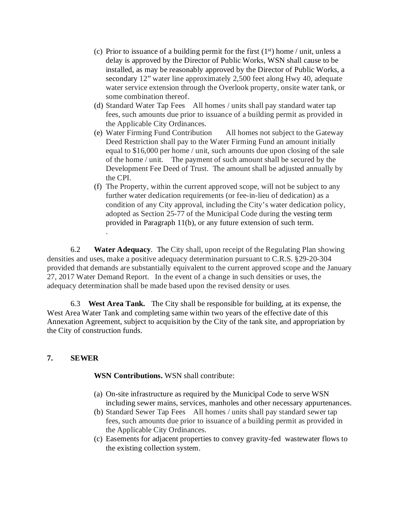- (c) Prior to issuance of a building permit for the first  $(1<sup>st</sup>)$  home / unit, unless a delay is approved by the Director of Public Works, WSN shall cause to be installed, as may be reasonably approved by the Director of Public Works, a secondary 12" water line approximately 2,500 feet along Hwy 40, adequate water service extension through the Overlook property, onsite water tank, or some combination thereof.
- (d) Standard Water Tap Fees All homes / units shall pay standard water tap fees, such amounts due prior to issuance of a building permit as provided in the Applicable City Ordinances.
- (e) Water Firming Fund Contribution All homes not subject to the Gateway Deed Restriction shall pay to the Water Firming Fund an amount initially equal to \$16,000 per home / unit, such amounts due upon closing of the sale of the home / unit. The payment of such amount shall be secured by the Development Fee Deed of Trust. The amount shall be adjusted annually by the CPI.
- (f) The Property, within the current approved scope, will not be subject to any further water dedication requirements (or fee-in-lieu of dedication) as a condition of any City approval, including the City's water dedication policy, adopted as Section 25-77 of the Municipal Code during the vesting term provided in Paragraph 11(b), or any future extension of such term. .

6.2 **Water Adequacy**. The City shall, upon receipt of the Regulating Plan showing densities and uses, make a positive adequacy determination pursuant to C.R.S. §29-20-304 provided that demands are substantially equivalent to the current approved scope and the January 27, 2017 Water Demand Report. In the event of a change in such densities or uses, the adequacy determination shall be made based upon the revised density or uses.

6.3 **West Area Tank.** The City shall be responsible for building, at its expense, the West Area Water Tank and completing same within two years of the effective date of this Annexation Agreement, subject to acquisition by the City of the tank site, and appropriation by the City of construction funds.

#### **7. SEWER**

**WSN Contributions.** WSN shall contribute:

- (a) On-site infrastructure as required by the Municipal Code to serve WSN including sewer mains, services, manholes and other necessary appurtenances.
- (b) Standard Sewer Tap Fees All homes / units shall pay standard sewer tap fees, such amounts due prior to issuance of a building permit as provided in the Applicable City Ordinances.
- (c) Easements for adjacent properties to convey gravity-fed wastewater flows to the existing collection system.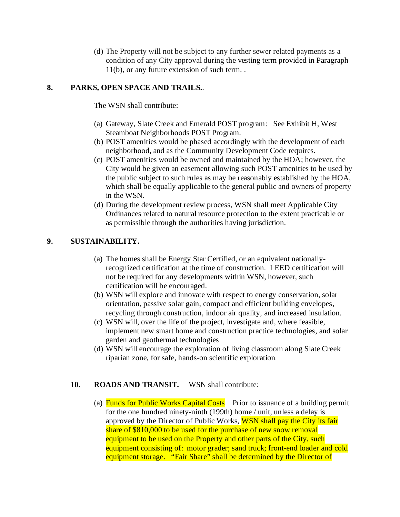(d) The Property will not be subject to any further sewer related payments as a condition of any City approval during the vesting term provided in Paragraph 11(b), or any future extension of such term. .

## **8. PARKS, OPEN SPACE AND TRAILS.**.

The WSN shall contribute:

- (a) Gateway, Slate Creek and Emerald POST program: See Exhibit H, West Steamboat Neighborhoods POST Program.
- (b) POST amenities would be phased accordingly with the development of each neighborhood, and as the Community Development Code requires.
- (c) POST amenities would be owned and maintained by the HOA; however, the City would be given an easement allowing such POST amenities to be used by the public subject to such rules as may be reasonably established by the HOA, which shall be equally applicable to the general public and owners of property in the WSN.
- (d) During the development review process, WSN shall meet Applicable City Ordinances related to natural resource protection to the extent practicable or as permissible through the authorities having jurisdiction.

# **9. SUSTAINABILITY.**

- (a) The homes shall be Energy Star Certified, or an equivalent nationallyrecognized certification at the time of construction. LEED certification will not be required for any developments within WSN, however, such certification will be encouraged.
- (b) WSN will explore and innovate with respect to energy conservation, solar orientation, passive solar gain, compact and efficient building envelopes, recycling through construction, indoor air quality, and increased insulation.
- (c) WSN will, over the life of the project, investigate and, where feasible, implement new smart home and construction practice technologies, and solar garden and geothermal technologies
- (d) WSN will encourage the exploration of living classroom along Slate Creek riparian zone, for safe, hands-on scientific exploration.

## **10. ROADS AND TRANSIT.** WSN shall contribute:

(a) Funds for Public Works Capital Costs Prior to issuance of a building permit for the one hundred ninety-ninth (199th) home / unit, unless a delay is approved by the Director of Public Works, WSN shall pay the City its fair share of \$810,000 to be used for the purchase of new snow removal equipment to be used on the Property and other parts of the City, such equipment consisting of: motor grader; sand truck; front-end loader and cold equipment storage. "Fair Share" shall be determined by the Director of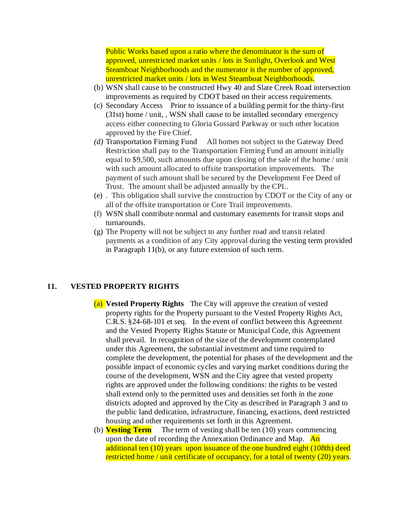Public Works based upon a ratio where the denominator is the sum of approved, unrestricted market units / lots in Sunlight, Overlook and West Steamboat Neighborhoods and the numerator is the number of approved, unrestricted market units / lots in West Steamboat Neighborhoods.

- (b) WSN shall cause to be constructed Hwy 40 and Slate Creek Road intersection improvements as required by CDOT based on their access requirements.
- (c) Secondary Access Prior to issuance of a building permit for the thirty-first (31st) home / unit, , WSN shall cause to be installed secondary emergency access either connecting to Gloria Gossard Parkway or such other location approved by the Fire Chief.
- *(d)* Transportation Firming Fund All homes not subject to the Gateway Deed Restriction shall pay to the Transportation Firming Fund an amount initially equal to \$9,500, such amounts due upon closing of the sale of the home / unit with such amount allocated to offsite transportation improvements. The payment of such amount shall be secured by the Development Fee Deed of Trust. The amount shall be adjusted annually by the CPI..
- (e) . This obligation shall survive the construction by CDOT or the City of any or all of the offsite transportation or Core Trail improvements.
- (f) WSN shall contribute normal and customary easements for transit stops and turnarounds.
- (g) The Property will not be subject to any further road and transit related payments as a condition of any City approval during the vesting term provided in Paragraph 11(b), or any future extension of such term.

#### **11. VESTED PROPERTY RIGHTS**

- (a) **Vested Property Rights** The City will approve the creation of vested property rights for the Property pursuant to the Vested Property Rights Act, C.R.S. §24-68-101 et seq. In the event of conflict between this Agreement and the Vested Property Rights Statute or Municipal Code, this Agreement shall prevail. In recognition of the size of the development contemplated under this Agreement, the substantial investment and time required to complete the development, the potential for phases of the development and the possible impact of economic cycles and varying market conditions during the course of the development, WSN and the City agree that vested property rights are approved under the following conditions: the rights to be vested shall extend only to the permitted uses and densities set forth in the zone districts adopted and approved by the City as described in Paragraph 3 and to the public land dedication, infrastructure, financing, exactions, deed restricted housing and other requirements set forth in this Agreement.
- (b) **Vesting Term** The term of vesting shall be ten (10) years commencing upon the date of recording the Annexation Ordinance and Map. An additional ten (10) years upon issuance of the one hundred eight (108th) deed restricted home / unit certificate of occupancy, for a total of twenty (20) years.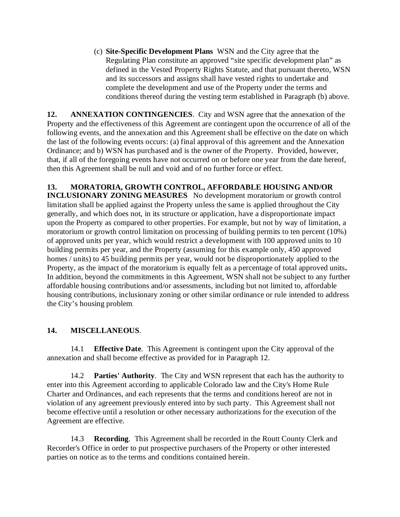(c) **Site-Specific Development Plans** WSN and the City agree that the Regulating Plan constitute an approved "site specific development plan" as defined in the Vested Property Rights Statute, and that pursuant thereto, WSN and its successors and assigns shall have vested rights to undertake and complete the development and use of the Property under the terms and conditions thereof during the vesting term established in Paragraph (b) above.

**12. ANNEXATION CONTINGENCIES**. City and WSN agree that the annexation of the Property and the effectiveness of this Agreement are contingent upon the occurrence of all of the following events, and the annexation and this Agreement shall be effective on the date on which the last of the following events occurs: (a) final approval of this agreement and the Annexation Ordinance; and b) WSN has purchased and is the owner of the Property. Provided, however, that, if all of the foregoing events have not occurred on or before one year from the date hereof, then this Agreement shall be null and void and of no further force or effect.

**13. MORATORIA, GROWTH CONTROL, AFFORDABLE HOUSING AND/OR INCLUSIONARY ZONING MEASURES** No development moratorium or growth control limitation shall be applied against the Property unless the same is applied throughout the City generally, and which does not, in its structure or application, have a disproportionate impact upon the Property as compared to other properties. For example, but not by way of limitation, a moratorium or growth control limitation on processing of building permits to ten percent (10%) of approved units per year, which would restrict a development with 100 approved units to 10 building permits per year, and the Property (assuming for this example only, 450 approved homes / units) to 45 building permits per year, would not be disproportionately applied to the Property, as the impact of the moratorium is equally felt as a percentage of total approved units**.**  In addition, beyond the commitments in this Agreement, WSN shall not be subject to any further affordable housing contributions and/or assessments, including but not limited to, affordable housing contributions, inclusionary zoning or other similar ordinance or rule intended to address the City's housing problem.

# **14. MISCELLANEOUS**.

14.1 **Effective Date**. This Agreement is contingent upon the City approval of the annexation and shall become effective as provided for in Paragraph 12.

14.2 **Parties' Authority**. The City and WSN represent that each has the authority to enter into this Agreement according to applicable Colorado law and the City's Home Rule Charter and Ordinances, and each represents that the terms and conditions hereof are not in violation of any agreement previously entered into by such party. This Agreement shall not become effective until a resolution or other necessary authorizations for the execution of the Agreement are effective.

14.3 **Recording**. This Agreement shall be recorded in the Routt County Clerk and Recorder's Office in order to put prospective purchasers of the Property or other interested parties on notice as to the terms and conditions contained herein.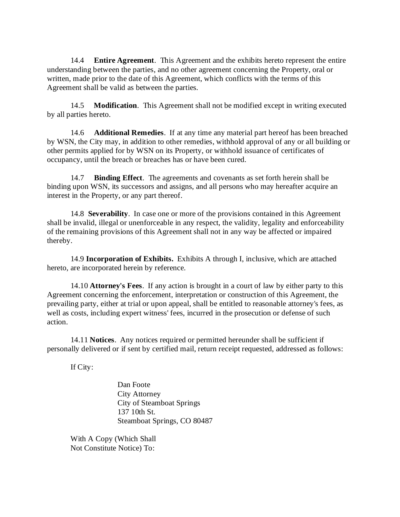14.4 **Entire Agreement**. This Agreement and the exhibits hereto represent the entire understanding between the parties, and no other agreement concerning the Property, oral or written, made prior to the date of this Agreement, which conflicts with the terms of this Agreement shall be valid as between the parties.

14.5 **Modification**. This Agreement shall not be modified except in writing executed by all parties hereto.

14.6 **Additional Remedies**. If at any time any material part hereof has been breached by WSN, the City may, in addition to other remedies, withhold approval of any or all building or other permits applied for by WSN on its Property, or withhold issuance of certificates of occupancy, until the breach or breaches has or have been cured.

14.7 **Binding Effect**. The agreements and covenants as set forth herein shall be binding upon WSN, its successors and assigns, and all persons who may hereafter acquire an interest in the Property, or any part thereof.

14.8 **Severability**. In case one or more of the provisions contained in this Agreement shall be invalid, illegal or unenforceable in any respect, the validity, legality and enforceability of the remaining provisions of this Agreement shall not in any way be affected or impaired thereby.

14.9 **Incorporation of Exhibits.** Exhibits A through I, inclusive, which are attached hereto, are incorporated herein by reference.

14.10 **Attorney's Fees**. If any action is brought in a court of law by either party to this Agreement concerning the enforcement, interpretation or construction of this Agreement, the prevailing party, either at trial or upon appeal, shall be entitled to reasonable attorney's fees, as well as costs, including expert witness' fees, incurred in the prosecution or defense of such action.

14.11 **Notices**. Any notices required or permitted hereunder shall be sufficient if personally delivered or if sent by certified mail, return receipt requested, addressed as follows:

If City:

Dan Foote City Attorney City of Steamboat Springs 137 10th St. Steamboat Springs, CO 80487

With A Copy (Which Shall Not Constitute Notice) To: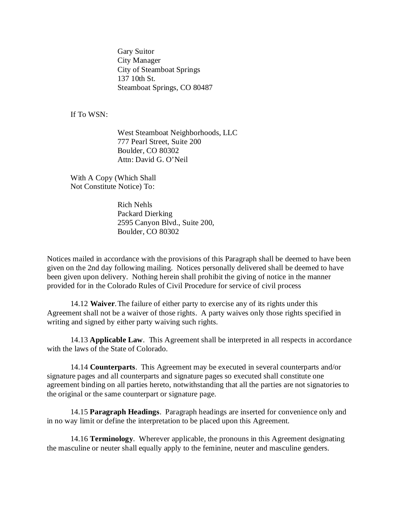Gary Suitor City Manager City of Steamboat Springs 137 10th St. Steamboat Springs, CO 80487

If To WSN:

West Steamboat Neighborhoods, LLC 777 Pearl Street, Suite 200 Boulder, CO 80302 Attn: David G. O'Neil

With A Copy (Which Shall Not Constitute Notice) To:

> Rich Nehls Packard Dierking 2595 Canyon Blvd., Suite 200, Boulder, CO 80302

Notices mailed in accordance with the provisions of this Paragraph shall be deemed to have been given on the 2nd day following mailing. Notices personally delivered shall be deemed to have been given upon delivery. Nothing herein shall prohibit the giving of notice in the manner provided for in the Colorado Rules of Civil Procedure for service of civil process

14.12 **Waiver**.The failure of either party to exercise any of its rights under this Agreement shall not be a waiver of those rights. A party waives only those rights specified in writing and signed by either party waiving such rights.

14.13 **Applicable Law**. This Agreement shall be interpreted in all respects in accordance with the laws of the State of Colorado.

14.14 **Counterparts**. This Agreement may be executed in several counterparts and/or signature pages and all counterparts and signature pages so executed shall constitute one agreement binding on all parties hereto, notwithstanding that all the parties are not signatories to the original or the same counterpart or signature page.

14.15 **Paragraph Headings**. Paragraph headings are inserted for convenience only and in no way limit or define the interpretation to be placed upon this Agreement.

14.16 **Terminology**. Wherever applicable, the pronouns in this Agreement designating the masculine or neuter shall equally apply to the feminine, neuter and masculine genders.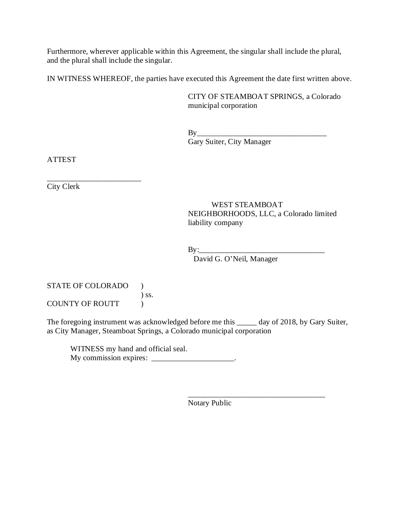Furthermore, wherever applicable within this Agreement, the singular shall include the plural, and the plural shall include the singular.

IN WITNESS WHEREOF, the parties have executed this Agreement the date first written above.

CITY OF STEAMBOAT SPRINGS, a Colorado municipal corporation

 $\mathbf{B}$ y Gary Suiter, City Manager

ATTEST

\_\_\_\_\_\_\_\_\_\_\_\_\_\_\_\_\_\_\_\_\_\_\_\_ City Clerk

> WEST STEAMBOAT NEIGHBORHOODS, LLC, a Colorado limited liability company

By:\_\_\_\_\_\_\_\_\_\_\_\_\_\_\_\_\_\_\_\_\_\_\_\_\_\_\_\_\_\_\_\_ David G. O'Neil, Manager

STATE OF COLORADO ) ) ss. COUNTY OF ROUTT (1)

The foregoing instrument was acknowledged before me this \_\_\_\_\_ day of 2018, by Gary Suiter, as City Manager, Steamboat Springs, a Colorado municipal corporation

WITNESS my hand and official seal. My commission expires:  $\frac{1}{2}$  \_\_\_\_\_\_\_\_\_\_\_\_\_\_\_\_\_\_\_\_\_\_\_\_\_\_\_\_\_\_\_.

> \_\_\_\_\_\_\_\_\_\_\_\_\_\_\_\_\_\_\_\_\_\_\_\_\_\_\_\_\_\_\_\_\_\_\_ Notary Public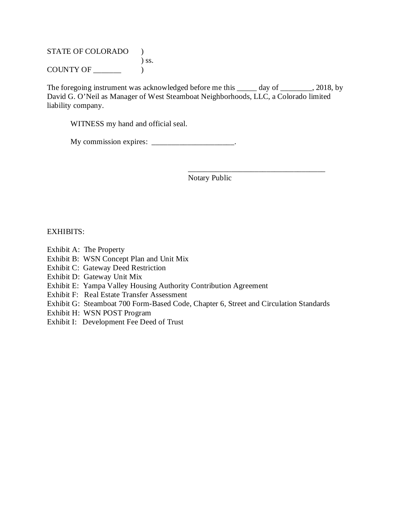STATE OF COLORADO ) ) ss. COUNTY OF \_\_\_\_\_\_\_ )

The foregoing instrument was acknowledged before me this \_\_\_\_\_ day of \_\_\_\_\_\_\_, 2018, by David G. O'Neil as Manager of West Steamboat Neighborhoods, LLC, a Colorado limited liability company.

WITNESS my hand and official seal.

My commission expires: \_\_\_\_\_\_\_\_\_\_\_\_\_\_\_\_\_\_\_\_.

Notary Public

\_\_\_\_\_\_\_\_\_\_\_\_\_\_\_\_\_\_\_\_\_\_\_\_\_\_\_\_\_\_\_\_\_\_\_

#### EXHIBITS:

- Exhibit A: The Property
- Exhibit B: WSN Concept Plan and Unit Mix
- Exhibit C: Gateway Deed Restriction
- Exhibit D: Gateway Unit Mix
- Exhibit E: Yampa Valley Housing Authority Contribution Agreement
- Exhibit F: Real Estate Transfer Assessment
- Exhibit G: Steamboat 700 Form-Based Code, Chapter 6, Street and Circulation Standards
- Exhibit H: WSN POST Program
- Exhibit I: Development Fee Deed of Trust